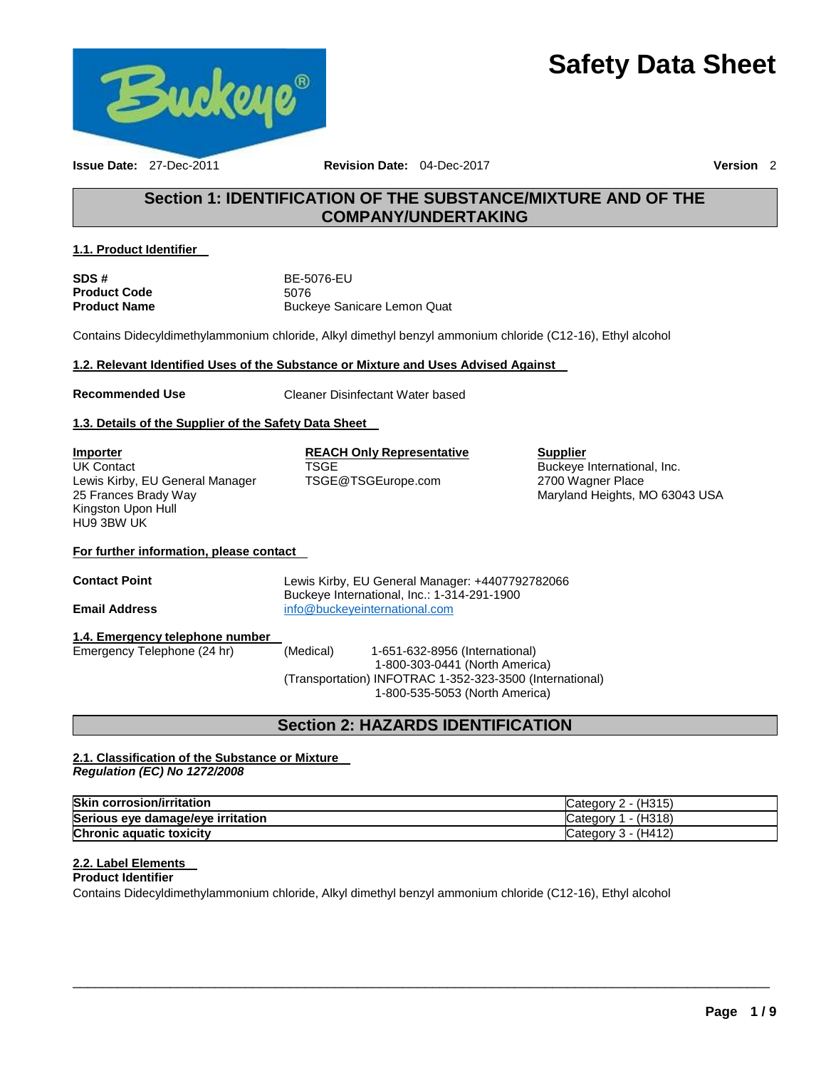# **Safety Data Sheet**



**Issue Date:** 27-Dec-2011 **Revision Date:** 04-Dec-2017 **Version** 2

### **Section 1: IDENTIFICATION OF THE SUBSTANCE/MIXTURE AND OF THE COMPANY/UNDERTAKING**

### **1.1. Product Identifier**

| SDS #               | BE-5076-EU                  |
|---------------------|-----------------------------|
| <b>Product Code</b> | 5076                        |
| <b>Product Name</b> | Buckeye Sanicare Lemon Quat |

Contains Didecyldimethylammonium chloride, Alkyl dimethyl benzyl ammonium chloride (C12-16), Ethyl alcohol

### **1.2. Relevant Identified Uses of the Substance or Mixture and Uses Advised Against**

**Recommended Use** Cleaner Disinfectant Water based

### **1.3. Details of the Supplier of the Safety Data Sheet**

| <b>Importer</b>                 |
|---------------------------------|
| <b>UK Contact</b>               |
| Lewis Kirby, EU General Manager |
| 25 Frances Brady Way            |
| Kingston Upon Hull              |
| HU9 3BW UK                      |

### **REACH Only Representative** TSGE

TSGE@TSGEurope.com

**Supplier** Buckeye International, Inc. 2700 Wagner Place Maryland Heights, MO 63043 USA

### **For further information, please contact**

**Contact Point** Lewis Kirby, EU General Manager: +4407792782066 Buckeye International, Inc.: 1-314-291-1900 **Email Address** [info@buckeyeinternational.com](mailto:info@buckeyeinternational.com)

### **1.4. Emergency telephone number**

Emergency Telephone (24 hr) (Medical) 1-651-632-8956 (International) 1-800-303-0441 (North America) (Transportation) INFOTRAC 1-352-323-3500 (International) 1-800-535-5053 (North America)

### **Section 2: HAZARDS IDENTIFICATION**

### **2.1. Classification of the Substance or Mixture**  *Regulation (EC) No 1272/2008*

| <b>Skin corrosion/irritation</b>  | Category 2 - (H315) |
|-----------------------------------|---------------------|
| Serious eye damage/eye irritation | Category 1 - (H318) |
| <b>Chronic aquatic toxicity</b>   | Category 3 - (H412) |

\_\_\_\_\_\_\_\_\_\_\_\_\_\_\_\_\_\_\_\_\_\_\_\_\_\_\_\_\_\_\_\_\_\_\_\_\_\_\_\_\_\_\_\_\_\_\_\_\_\_\_\_\_\_\_\_\_\_\_\_\_\_\_\_\_\_\_\_\_\_\_\_\_\_\_\_\_\_\_\_\_\_\_\_\_\_\_\_\_\_\_\_\_

### **2.2. Label Elements**

**Product Identifier** 

Contains Didecyldimethylammonium chloride, Alkyl dimethyl benzyl ammonium chloride (C12-16), Ethyl alcohol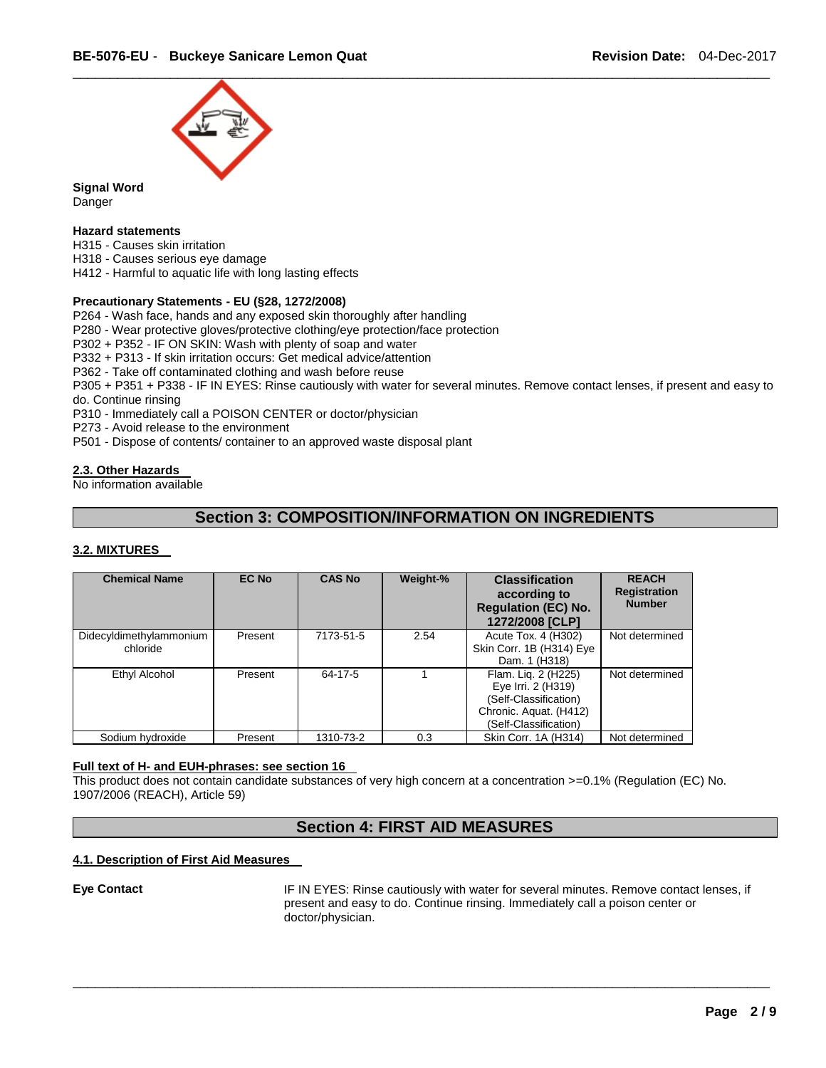

**Signal Word** Danger

### **Hazard statements**

H315 - Causes skin irritation H318 - Causes serious eye damage

H412 - Harmful to aquatic life with long lasting effects

### **Precautionary Statements - EU (§28, 1272/2008)**

P264 - Wash face, hands and any exposed skin thoroughly after handling

P280 - Wear protective gloves/protective clothing/eye protection/face protection

P302 + P352 - IF ON SKIN: Wash with plenty of soap and water

P332 + P313 - If skin irritation occurs: Get medical advice/attention

P362 - Take off contaminated clothing and wash before reuse

P305 + P351 + P338 - IF IN EYES: Rinse cautiously with water for several minutes. Remove contact lenses, if present and easy to do. Continue rinsing

P310 - Immediately call a POISON CENTER or doctor/physician

P273 - Avoid release to the environment

P501 - Dispose of contents/ container to an approved waste disposal plant

### **2.3. Other Hazards**

No information available

### **Section 3: COMPOSITION/INFORMATION ON INGREDIENTS**

### **3.2. MIXTURES**

| <b>Chemical Name</b>                | <b>EC No</b> | <b>CAS No</b> | Weight-% | <b>Classification</b><br>according to<br><b>Regulation (EC) No.</b><br>1272/2008 [CLP]                                | <b>REACH</b><br><b>Registration</b><br><b>Number</b> |
|-------------------------------------|--------------|---------------|----------|-----------------------------------------------------------------------------------------------------------------------|------------------------------------------------------|
| Didecyldimethylammonium<br>chloride | Present      | 7173-51-5     | 2.54     | Acute Tox. 4 (H302)<br>Skin Corr. 1B (H314) Eye<br>Dam. 1 (H318)                                                      | Not determined                                       |
| Ethyl Alcohol                       | Present      | 64-17-5       |          | Flam. Lig. 2 (H225)<br>Eye Irri. 2 (H319)<br>(Self-Classification)<br>Chronic. Aquat. (H412)<br>(Self-Classification) | Not determined                                       |
| Sodium hydroxide                    | Present      | 1310-73-2     | 0.3      | Skin Corr. 1A (H314)                                                                                                  | Not determined                                       |

#### **Full text of H- and EUH-phrases: see section 16**

This product does not contain candidate substances of very high concern at a concentration >=0.1% (Regulation (EC) No. 1907/2006 (REACH), Article 59)

### **Section 4: FIRST AID MEASURES**

\_\_\_\_\_\_\_\_\_\_\_\_\_\_\_\_\_\_\_\_\_\_\_\_\_\_\_\_\_\_\_\_\_\_\_\_\_\_\_\_\_\_\_\_\_\_\_\_\_\_\_\_\_\_\_\_\_\_\_\_\_\_\_\_\_\_\_\_\_\_\_\_\_\_\_\_\_\_\_\_\_\_\_\_\_\_\_\_\_\_\_\_\_

### **4.1. Description of First Aid Measures**

**Eye Contact** IF IN EYES: Rinse cautiously with water for several minutes. Remove contact lenses, if present and easy to do. Continue rinsing. Immediately call a poison center or doctor/physician.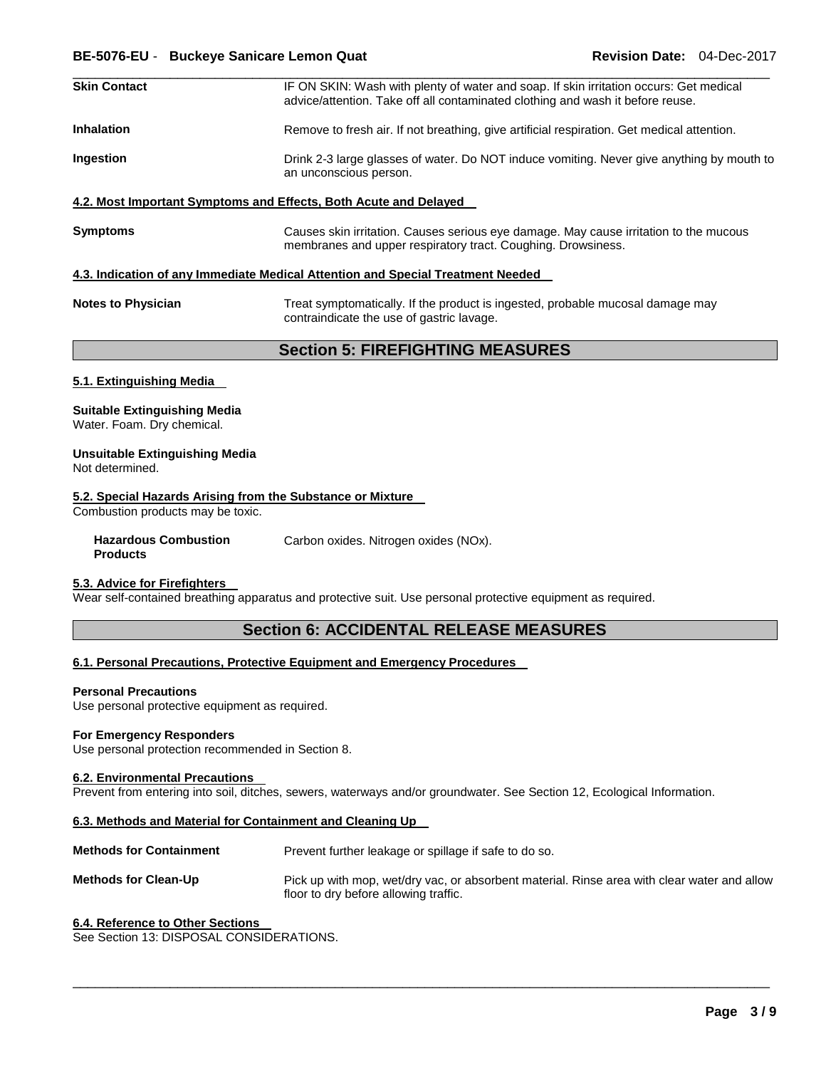| <b>Skin Contact</b> | IF ON SKIN: Wash with plenty of water and soap. If skin irritation occurs: Get medical<br>advice/attention. Take off all contaminated clothing and wash it before reuse. |
|---------------------|--------------------------------------------------------------------------------------------------------------------------------------------------------------------------|
| <b>Inhalation</b>   | Remove to fresh air. If not breathing, give artificial respiration. Get medical attention.                                                                               |
| <b>Ingestion</b>    | Drink 2-3 large glasses of water. Do NOT induce vomiting. Never give anything by mouth to<br>an unconscious person.                                                      |

\_\_\_\_\_\_\_\_\_\_\_\_\_\_\_\_\_\_\_\_\_\_\_\_\_\_\_\_\_\_\_\_\_\_\_\_\_\_\_\_\_\_\_\_\_\_\_\_\_\_\_\_\_\_\_\_\_\_\_\_\_\_\_\_\_\_\_\_\_\_\_\_\_\_\_\_\_\_\_\_\_\_\_\_\_\_\_\_\_\_\_\_\_

### **4.2. Most Important Symptoms and Effects, Both Acute and Delayed**

**Symptoms** Causes skin irritation. Causes serious eye damage. May cause irritation to the mucous membranes and upper respiratory tract. Coughing. Drowsiness.

### **4.3. Indication of any Immediate Medical Attention and Special Treatment Needed**

| <b>Notes to Physician</b> | Treat symptomatically. If the product is ingested, probable mucosal damage may |
|---------------------------|--------------------------------------------------------------------------------|
|                           | contraindicate the use of gastric lavage.                                      |

**Section 5: FIREFIGHTING MEASURES** 

#### **5.1. Extinguishing Media**

#### **Suitable Extinguishing Media**

Water. Foam. Dry chemical.

### **Unsuitable Extinguishing Media**

Not determined.

### **5.2. Special Hazards Arising from the Substance or Mixture**

Combustion products may be toxic.

**Hazardous Combustion Products** 

Carbon oxides. Nitrogen oxides (NOx).

#### **5.3. Advice for Firefighters**

Wear self-contained breathing apparatus and protective suit. Use personal protective equipment as required.

### **Section 6: ACCIDENTAL RELEASE MEASURES**

#### **6.1. Personal Precautions, Protective Equipment and Emergency Procedures**

#### **Personal Precautions**

Use personal protective equipment as required.

#### **For Emergency Responders**

Use personal protection recommended in Section 8.

#### **6.2. Environmental Precautions**

Prevent from entering into soil, ditches, sewers, waterways and/or groundwater. See Section 12, Ecological Information.

### **6.3. Methods and Material for Containment and Cleaning Up**

**Methods for Containment** Prevent further leakage or spillage if safe to do so.

**Methods for Clean-Up** Pick up with mop, wet/dry vac, or absorbent material. Rinse area with clear water and allow floor to dry before allowing traffic.

\_\_\_\_\_\_\_\_\_\_\_\_\_\_\_\_\_\_\_\_\_\_\_\_\_\_\_\_\_\_\_\_\_\_\_\_\_\_\_\_\_\_\_\_\_\_\_\_\_\_\_\_\_\_\_\_\_\_\_\_\_\_\_\_\_\_\_\_\_\_\_\_\_\_\_\_\_\_\_\_\_\_\_\_\_\_\_\_\_\_\_\_\_

#### **6.4. Reference to Other Sections**

See Section 13: DISPOSAL CONSIDERATIONS.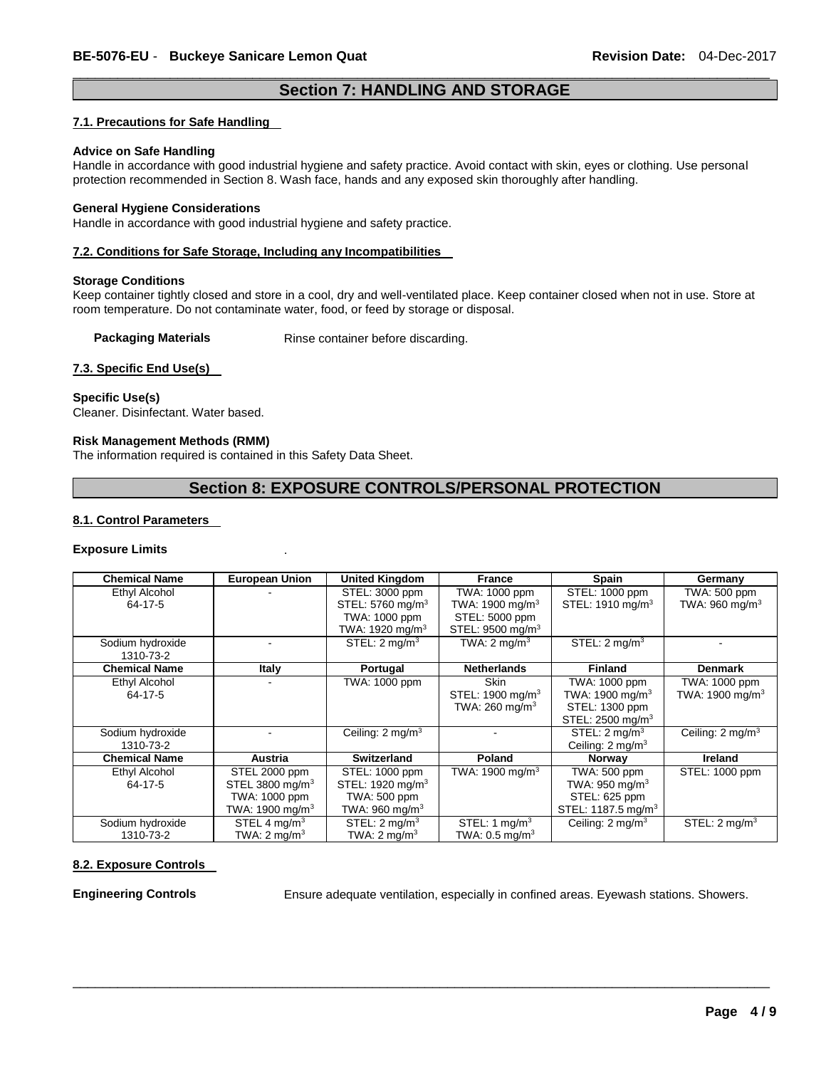### \_\_\_\_\_\_\_\_\_\_\_\_\_\_\_\_\_\_\_\_\_\_\_\_\_\_\_\_\_\_\_\_\_\_\_\_\_\_\_\_\_\_\_\_\_\_\_\_\_\_\_\_\_\_\_\_\_\_\_\_\_\_\_\_\_\_\_\_\_\_\_\_\_\_\_\_\_\_\_\_\_\_\_\_\_\_\_\_\_\_\_\_\_ **Section 7: HANDLING AND STORAGE**

### **7.1. Precautions for Safe Handling**

#### **Advice on Safe Handling**

Handle in accordance with good industrial hygiene and safety practice. Avoid contact with skin, eyes or clothing. Use personal protection recommended in Section 8. Wash face, hands and any exposed skin thoroughly after handling.

#### **General Hygiene Considerations**

Handle in accordance with good industrial hygiene and safety practice.

### **7.2. Conditions for Safe Storage, Including any Incompatibilities**

### **Storage Conditions**

Keep container tightly closed and store in a cool, dry and well-ventilated place. Keep container closed when not in use. Store at room temperature. Do not contaminate water, food, or feed by storage or disposal.

**Packaging Materials Rinse container before discarding.** 

### **7.3. Specific End Use(s)**

### **Specific Use(s)**

Cleaner. Disinfectant. Water based.

### **Risk Management Methods (RMM)**

The information required is contained in this Safety Data Sheet.

### **Section 8: EXPOSURE CONTROLS/PERSONAL PROTECTION**

### **8.1. Control Parameters**

#### **Exposure Limits** .

| <b>Chemical Name</b>          | <b>European Union</b>                                                               | <b>United Kingdom</b>                                                                          | <b>France</b>                                                                                  | Spain                                                                                        | Germany                                   |
|-------------------------------|-------------------------------------------------------------------------------------|------------------------------------------------------------------------------------------------|------------------------------------------------------------------------------------------------|----------------------------------------------------------------------------------------------|-------------------------------------------|
| Ethyl Alcohol<br>64-17-5      |                                                                                     | STEL: 3000 ppm<br>STEL: 5760 mg/m <sup>3</sup><br>TWA: 1000 ppm<br>TWA: 1920 mg/m <sup>3</sup> | TWA: 1000 ppm<br>TWA: 1900 mg/m <sup>3</sup><br>STEL: 5000 ppm<br>STEL: 9500 mg/m <sup>3</sup> | STEL: 1000 ppm<br>STEL: 1910 mg/m <sup>3</sup>                                               | TWA: 500 ppm<br>TWA: $960 \text{ mg/m}^3$ |
| Sodium hydroxide<br>1310-73-2 |                                                                                     | STEL: $2 \text{ mg/m}^3$                                                                       | TWA: $2 \text{ mq/m}^3$                                                                        | STEL: $2 \text{ mg/m}^3$                                                                     |                                           |
| <b>Chemical Name</b>          | Italy                                                                               | Portugal                                                                                       | <b>Netherlands</b>                                                                             | <b>Finland</b>                                                                               | <b>Denmark</b>                            |
| Ethyl Alcohol<br>64-17-5      |                                                                                     | TWA: 1000 ppm                                                                                  | <b>Skin</b><br>STEL: 1900 mg/m <sup>3</sup><br>TWA: 260 mg/m $3$                               | TWA: 1000 ppm<br>TWA: 1900 mg/m $3$<br>STEL: 1300 ppm<br>STEL: 2500 mg/m <sup>3</sup>        | TWA: 1000 ppm<br>TWA: 1900 mg/m $3$       |
| Sodium hydroxide<br>1310-73-2 |                                                                                     | Ceiling: $2 \text{ mg/m}^3$                                                                    |                                                                                                | STEL: $2 \text{ mq/m}^3$<br>Ceiling: $2 \text{ mq/m}^3$                                      | Ceiling: $2 \text{ mq/m}^3$               |
| <b>Chemical Name</b>          | <b>Austria</b>                                                                      | Switzerland                                                                                    | Poland                                                                                         | <b>Norway</b>                                                                                | Ireland                                   |
| Ethyl Alcohol<br>64-17-5      | STEL 2000 ppm<br>STEL 3800 mg/m $3$<br>TWA: 1000 ppm<br>TWA: 1900 mg/m <sup>3</sup> | STEL: 1000 ppm<br>STEL: 1920 mg/m <sup>3</sup><br>TWA: 500 ppm<br>TWA: $960 \text{ mg/m}^3$    | TWA: 1900 mg/m $^3$                                                                            | TWA: 500 ppm<br>TWA: $950 \text{ mg/m}^3$<br>STEL: 625 ppm<br>STEL: 1187.5 mg/m <sup>3</sup> | STEL: 1000 ppm                            |
| Sodium hydroxide<br>1310-73-2 | STEL 4 mg/m <sup>3</sup><br>TWA: $2 \text{ mq/m}^3$                                 | STEL: $2 \text{ mq/m}^3$<br>TWA: $2 \text{ mq/m}^3$                                            | STEL: 1 $mq/m3$<br>TWA: 0.5 mg/m $^3$                                                          | Ceiling: $2 \text{ mg/m}^3$                                                                  | STEL: $2 \text{ mg/m}^3$                  |

\_\_\_\_\_\_\_\_\_\_\_\_\_\_\_\_\_\_\_\_\_\_\_\_\_\_\_\_\_\_\_\_\_\_\_\_\_\_\_\_\_\_\_\_\_\_\_\_\_\_\_\_\_\_\_\_\_\_\_\_\_\_\_\_\_\_\_\_\_\_\_\_\_\_\_\_\_\_\_\_\_\_\_\_\_\_\_\_\_\_\_\_\_

### **8.2. Exposure Controls**

**Engineering Controls** Ensure adequate ventilation, especially in confined areas. Eyewash stations. Showers.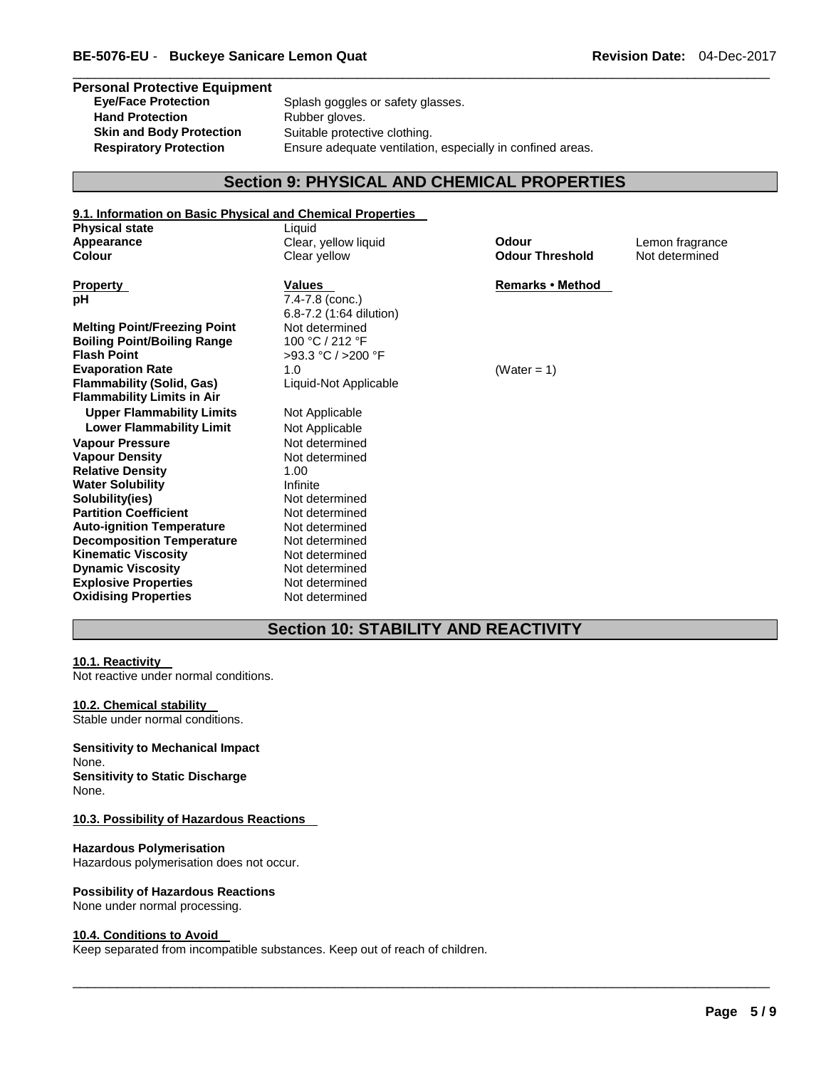### **Personal Protective Equipment**  Splash goggles or safety glasses. Hand Protection **Rubber gloves**. **Skin and Body Protection** Suitable protective clothing. **Respiratory Protection** Ensure adequate ventilation, especially in confined areas.

### **Section 9: PHYSICAL AND CHEMICAL PROPERTIES**

\_\_\_\_\_\_\_\_\_\_\_\_\_\_\_\_\_\_\_\_\_\_\_\_\_\_\_\_\_\_\_\_\_\_\_\_\_\_\_\_\_\_\_\_\_\_\_\_\_\_\_\_\_\_\_\_\_\_\_\_\_\_\_\_\_\_\_\_\_\_\_\_\_\_\_\_\_\_\_\_\_\_\_\_\_\_\_\_\_\_\_\_\_

| 9.1. Information on Basic Physical and Chemical Properties |                         |                         |                 |
|------------------------------------------------------------|-------------------------|-------------------------|-----------------|
| <b>Physical state</b>                                      | Liquid                  |                         |                 |
| Appearance                                                 | Clear, yellow liquid    | Odour                   | Lemon fragrance |
| Colour                                                     | Clear yellow            | <b>Odour Threshold</b>  | Not determined  |
| <b>Property</b>                                            | <b>Values</b>           | <b>Remarks • Method</b> |                 |
| рH                                                         | 7.4-7.8 (conc.)         |                         |                 |
|                                                            | 6.8-7.2 (1:64 dilution) |                         |                 |
| <b>Melting Point/Freezing Point</b>                        | Not determined          |                         |                 |
| <b>Boiling Point/Boiling Range</b>                         | 100 °C / 212 °F         |                         |                 |
| <b>Flash Point</b>                                         | >93.3 °C / >200 °F      |                         |                 |
| <b>Evaporation Rate</b>                                    | 1.0                     | (Water = 1)             |                 |
| <b>Flammability (Solid, Gas)</b>                           | Liquid-Not Applicable   |                         |                 |
| <b>Flammability Limits in Air</b>                          |                         |                         |                 |
| <b>Upper Flammability Limits</b>                           | Not Applicable          |                         |                 |
| <b>Lower Flammability Limit</b>                            | Not Applicable          |                         |                 |
| <b>Vapour Pressure</b>                                     | Not determined          |                         |                 |
| <b>Vapour Density</b>                                      | Not determined          |                         |                 |
| <b>Relative Density</b>                                    | 1.00                    |                         |                 |
| <b>Water Solubility</b>                                    | Infinite                |                         |                 |
| Solubility(ies)                                            | Not determined          |                         |                 |
| <b>Partition Coefficient</b>                               | Not determined          |                         |                 |
| <b>Auto-ignition Temperature</b>                           | Not determined          |                         |                 |
| <b>Decomposition Temperature</b>                           | Not determined          |                         |                 |
| <b>Kinematic Viscosity</b>                                 | Not determined          |                         |                 |
| <b>Dynamic Viscosity</b>                                   | Not determined          |                         |                 |
| <b>Explosive Properties</b>                                | Not determined          |                         |                 |
| <b>Oxidising Properties</b>                                | Not determined          |                         |                 |

### **Section 10: STABILITY AND REACTIVITY**

\_\_\_\_\_\_\_\_\_\_\_\_\_\_\_\_\_\_\_\_\_\_\_\_\_\_\_\_\_\_\_\_\_\_\_\_\_\_\_\_\_\_\_\_\_\_\_\_\_\_\_\_\_\_\_\_\_\_\_\_\_\_\_\_\_\_\_\_\_\_\_\_\_\_\_\_\_\_\_\_\_\_\_\_\_\_\_\_\_\_\_\_\_

### **10.1. Reactivity**

Not reactive under normal conditions.

#### **10.2. Chemical stability**

Stable under normal conditions.

### **Sensitivity to Mechanical Impact**

None. **Sensitivity to Static Discharge** None.

### **10.3. Possibility of Hazardous Reactions**

### **Hazardous Polymerisation**

Hazardous polymerisation does not occur.

### **Possibility of Hazardous Reactions**

None under normal processing.

#### **10.4. Conditions to Avoid**

Keep separated from incompatible substances. Keep out of reach of children.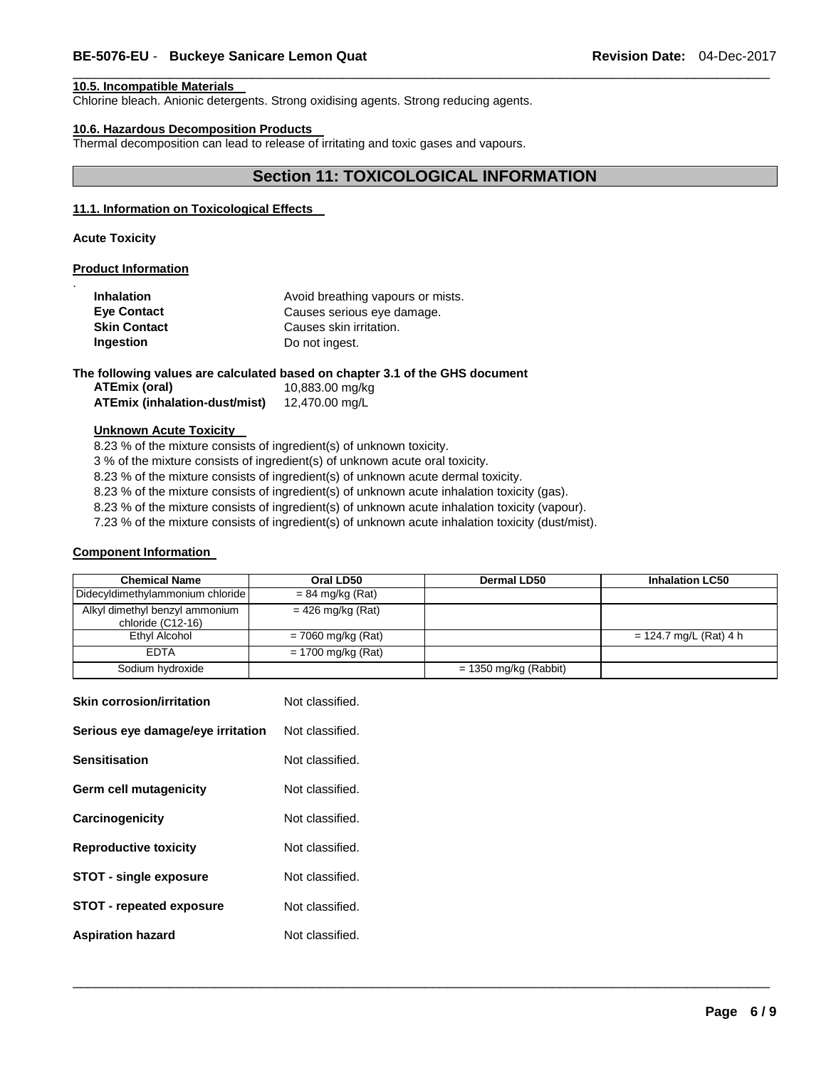### **10.5. Incompatible Materials**

Chlorine bleach. Anionic detergents. Strong oxidising agents. Strong reducing agents.

### **10.6. Hazardous Decomposition Products**

Thermal decomposition can lead to release of irritating and toxic gases and vapours.

### **Section 11: TOXICOLOGICAL INFORMATION**

\_\_\_\_\_\_\_\_\_\_\_\_\_\_\_\_\_\_\_\_\_\_\_\_\_\_\_\_\_\_\_\_\_\_\_\_\_\_\_\_\_\_\_\_\_\_\_\_\_\_\_\_\_\_\_\_\_\_\_\_\_\_\_\_\_\_\_\_\_\_\_\_\_\_\_\_\_\_\_\_\_\_\_\_\_\_\_\_\_\_\_\_\_

### **11.1. Information on Toxicological Effects**

**Acute Toxicity** 

.

### **Product Information**

| <b>Inhalation</b>   | Avoid breathing vapours or mists. |
|---------------------|-----------------------------------|
| <b>Eye Contact</b>  | Causes serious eye damage.        |
| <b>Skin Contact</b> | Causes skin irritation.           |
| Ingestion           | Do not ingest.                    |

### **The following values are calculated based on chapter 3.1 of the GHS document**

| ATEmix (oral)                 | 10,883.00 mg/kg |
|-------------------------------|-----------------|
| ATEmix (inhalation-dust/mist) | 12,470.00 mg/L  |

### **Unknown Acute Toxicity**

8.23 % of the mixture consists of ingredient(s) of unknown toxicity.

3 % of the mixture consists of ingredient(s) of unknown acute oral toxicity.

8.23 % of the mixture consists of ingredient(s) of unknown acute dermal toxicity.

8.23 % of the mixture consists of ingredient(s) of unknown acute inhalation toxicity (gas).

8.23 % of the mixture consists of ingredient(s) of unknown acute inhalation toxicity (vapour).

7.23 % of the mixture consists of ingredient(s) of unknown acute inhalation toxicity (dust/mist).

### **Component Information**

| <b>Chemical Name</b>                                | Oral LD50            | <b>Dermal LD50</b>      | <b>Inhalation LC50</b>   |
|-----------------------------------------------------|----------------------|-------------------------|--------------------------|
| Didecyldimethylammonium chloride                    | $= 84$ mg/kg (Rat)   |                         |                          |
| Alkyl dimethyl benzyl ammonium<br>chloride (C12-16) | $= 426$ mg/kg (Rat)  |                         |                          |
| Ethyl Alcohol                                       | $= 7060$ mg/kg (Rat) |                         | $= 124.7$ mg/L (Rat) 4 h |
| <b>FDTA</b>                                         | $= 1700$ mg/kg (Rat) |                         |                          |
| Sodium hydroxide                                    |                      | $= 1350$ mg/kg (Rabbit) |                          |

| <b>Skin corrosion/irritation</b>  | Not classified. |
|-----------------------------------|-----------------|
| Serious eye damage/eye irritation | Not classified. |
| <b>Sensitisation</b>              | Not classified. |
| Germ cell mutagenicity            | Not classified. |
| Carcinogenicity                   | Not classified. |
| <b>Reproductive toxicity</b>      | Not classified. |
| STOT - single exposure            | Not classified. |
| <b>STOT - repeated exposure</b>   | Not classified. |
| <b>Aspiration hazard</b>          | Not classified. |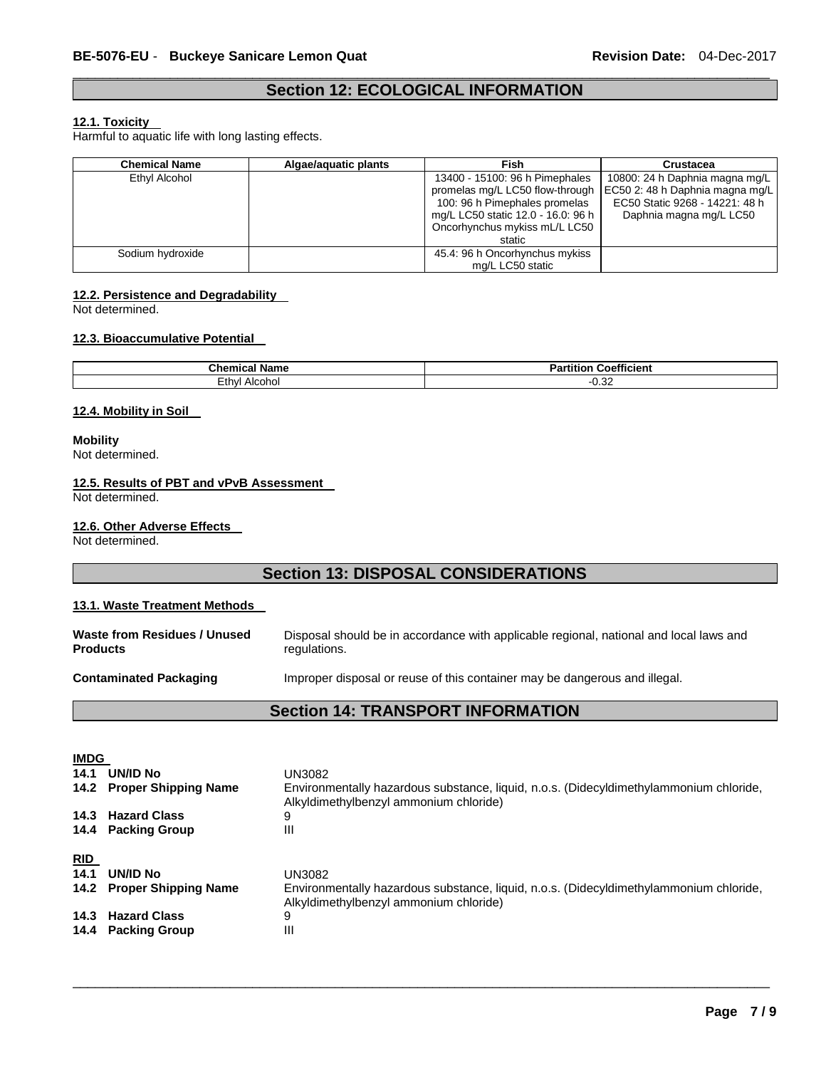### \_\_\_\_\_\_\_\_\_\_\_\_\_\_\_\_\_\_\_\_\_\_\_\_\_\_\_\_\_\_\_\_\_\_\_\_\_\_\_\_\_\_\_\_\_\_\_\_\_\_\_\_\_\_\_\_\_\_\_\_\_\_\_\_\_\_\_\_\_\_\_\_\_\_\_\_\_\_\_\_\_\_\_\_\_\_\_\_\_\_\_\_\_ **Section 12: ECOLOGICAL INFORMATION**

### **12.1. Toxicity**

Harmful to aquatic life with long lasting effects.

| <b>Chemical Name</b> | Algae/aguatic plants | Fish                               | <b>Crustacea</b>                |
|----------------------|----------------------|------------------------------------|---------------------------------|
| Ethyl Alcohol        |                      | 13400 - 15100: 96 h Pimephales     | 10800: 24 h Daphnia magna mg/L  |
|                      |                      | promelas mg/L LC50 flow-through    | EC50 2: 48 h Daphnia magna mg/L |
|                      |                      | 100: 96 h Pimephales promelas      | EC50 Static 9268 - 14221: 48 h  |
|                      |                      | mg/L LC50 static 12.0 - 16.0: 96 h | Daphnia magna mg/L LC50         |
|                      |                      | Oncorhynchus mykiss mL/L LC50      |                                 |
|                      |                      | static                             |                                 |
| Sodium hydroxide     |                      | 45.4: 96 h Oncorhynchus mykiss     |                                 |
|                      |                      | mg/L LC50 static                   |                                 |

### **12.2. Persistence and Degradability**

Not determined.

### **12.3. Bioaccumulative Potential**

| $\sim$<br>.<br>' Namu<br>∪ne<br>. | $-$<br>.<br><b>Coefficient</b><br>--<br>.<br>нно<br>$\mathbf{a}$ |
|-----------------------------------|------------------------------------------------------------------|
| Ethyl                             | $\sim$                                                           |
| Alcohol                           | ∠ت. ت                                                            |

### **12.4. Mobility in Soil**

**Mobility** Not determined.

### **12.5. Results of PBT and vPvB Assessment**

Not determined.

### **12.6. Other Adverse Effects**

Not determined.

## **Section 13: DISPOSAL CONSIDERATIONS**

### **13.1. Waste Treatment Methods**

| Waste from Residues / Unused<br><b>Products</b> | Disposal should be in accordance with applicable regional, national and local laws and<br>regulations. |
|-------------------------------------------------|--------------------------------------------------------------------------------------------------------|
| <b>Contaminated Packaging</b>                   | Improper disposal or reuse of this container may be dangerous and illegal.                             |
|                                                 | <b>Section 14: TRANSPORT INFORMATION</b>                                                               |
|                                                 |                                                                                                        |

| <b>IMDG</b>        |                                         |                                                                                                                                            |
|--------------------|-----------------------------------------|--------------------------------------------------------------------------------------------------------------------------------------------|
| 14.1               | <b>UN/ID No</b>                         | UN3082                                                                                                                                     |
|                    | 14.2 Proper Shipping Name               | Environmentally hazardous substance, liquid, n.o.s. (Didecyldimethylammonium chloride,<br>Alkyldimethylbenzyl ammonium chloride)           |
|                    | 14.3 Hazard Class                       | 9                                                                                                                                          |
|                    | 14.4 Packing Group                      | Ш                                                                                                                                          |
| <u>RID</u><br>14.1 | UN/ID No<br>14.2 Proper Shipping Name   | UN3082<br>Environmentally hazardous substance, liquid, n.o.s. (Didecyldimethylammonium chloride,<br>Alkyldimethylbenzyl ammonium chloride) |
|                    | 14.3 Hazard Class<br>14.4 Packing Group | 9<br>$\mathbf{III}$                                                                                                                        |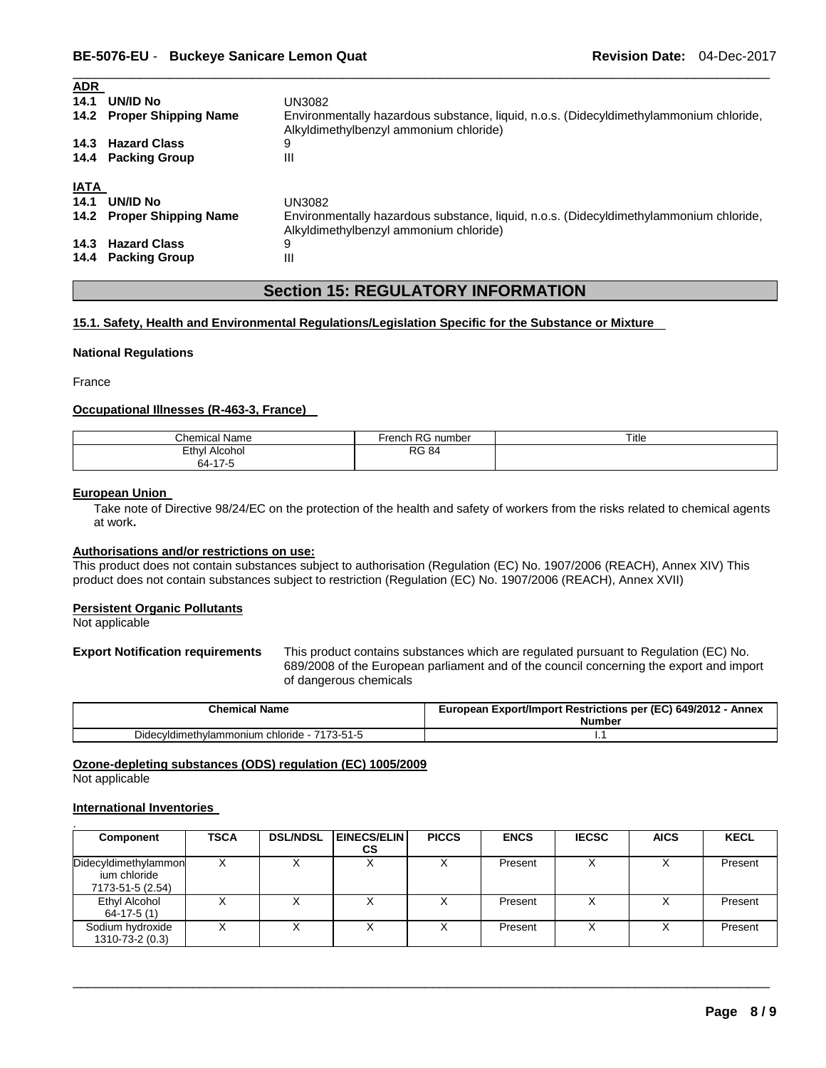| $\sim$ $\sim$ $\sim$ $\sim$<br>14.1 | UN/ID No<br>14.2 Proper Shipping Name<br>14.3 Hazard Class<br>14.4 Packing Group | UN3082<br>Environmentally hazardous substance, liquid, n.o.s. (Didecyldimethylammonium chloride,<br>Alkyldimethylbenzyl ammonium chloride)<br>9<br>Ш |
|-------------------------------------|----------------------------------------------------------------------------------|------------------------------------------------------------------------------------------------------------------------------------------------------|
| IATA<br>14.1                        | UN/ID No<br>14.2 Proper Shipping Name                                            | UN3082<br>Environmentally hazardous substance, liquid, n.o.s. (Didecyldimethylammonium chloride,<br>Alkyldimethylbenzyl ammonium chloride)           |
|                                     | 14.3 Hazard Class<br>14.4 Packing Group                                          | 9<br>Ш                                                                                                                                               |

\_\_\_\_\_\_\_\_\_\_\_\_\_\_\_\_\_\_\_\_\_\_\_\_\_\_\_\_\_\_\_\_\_\_\_\_\_\_\_\_\_\_\_\_\_\_\_\_\_\_\_\_\_\_\_\_\_\_\_\_\_\_\_\_\_\_\_\_\_\_\_\_\_\_\_\_\_\_\_\_\_\_\_\_\_\_\_\_\_\_\_\_\_

## **Section 15: REGULATORY INFORMATION**

### **15.1. Safety, Health and Environmental Regulations/Legislation Specific for the Substance or Mixture**

### **National Regulations**

France

**ADR** 

### **Occupational Illnesses (R-463-3, France)**

| $\ddot{\phantom{1}}$<br>$\sim$<br>`hemical Name             | D <sub>C</sub><br>r<br>number<br>rencn<br>NU. | Title |
|-------------------------------------------------------------|-----------------------------------------------|-------|
| Ethvl<br>. .<br>Alcohol                                     | <b>RG 84</b>                                  |       |
| $\rightarrow$ $\rightarrow$ $\rightarrow$<br>ыл.<br>_______ |                                               |       |

### **European Union**

Take note of Directive 98/24/EC on the protection of the health and safety of workers from the risks related to chemical agents at work**.** 

### **Authorisations and/or restrictions on use:**

This product does not contain substances subject to authorisation (Regulation (EC) No. 1907/2006 (REACH), Annex XIV) This product does not contain substances subject to restriction (Regulation (EC) No. 1907/2006 (REACH), Annex XVII)

#### **Persistent Organic Pollutants**

Not applicable

**Export Notification requirements** This product contains substances which are regulated pursuant to Regulation (EC) No. 689/2008 of the European parliament and of the council concerning the export and import of dangerous chemicals

| <b>Chemical Name</b>                         | European Export/Import Restrictions per (EC) 649/2012 - Annex<br><b>Number</b> |
|----------------------------------------------|--------------------------------------------------------------------------------|
| Didecyldimethylammonium chloride - 7173-51-5 |                                                                                |

**Ozone-depleting substances (ODS) regulation (EC) 1005/2009**

Not applicable

### **International Inventories**

| Component                                                | <b>TSCA</b> | <b>DSL/NDSL</b> | <b>EINECS/ELIN</b><br>СS | <b>PICCS</b> | <b>ENCS</b> | <b>IECSC</b>      | <b>AICS</b> | <b>KECL</b> |
|----------------------------------------------------------|-------------|-----------------|--------------------------|--------------|-------------|-------------------|-------------|-------------|
| Didecyldimethylammon<br>ium chloride<br>7173-51-5 (2.54) |             |                 |                          |              | Present     |                   |             | Present     |
| Ethyl Alcohol<br>$64-17-5(1)$                            |             |                 | v                        |              | Present     | v                 |             | Present     |
| Sodium hydroxide<br>1310-73-2 (0.3)                      |             |                 |                          |              | Present     | $\checkmark$<br>⌒ |             | Present     |